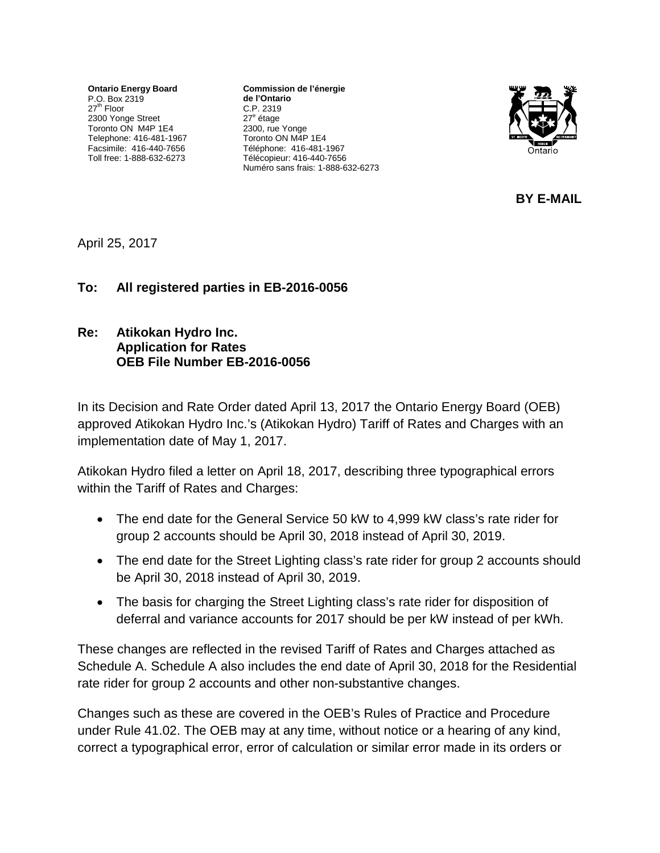**Ontario Energy Board** P.O. Box 2319 27<sup>th</sup> Floor 2300 Yonge Street Toronto ON M4P 1E4 Telephone: 416-481-1967 Facsimile: 416-440-7656 Toll free: 1-888-632-6273

**Commission de l'énergie de l'Ontario** C.P. 2319 27<sup>e</sup> étage 2300, rue Yonge Toronto ON M4P 1E4 Téléphone: 416-481-1967 Télécopieur: 416-440-7656 Numéro sans frais: 1-888-632-6273



**BY E-MAIL**

April 25, 2017

### **To: All registered parties in EB-2016-0056**

### **Re: Atikokan Hydro Inc. Application for Rates OEB File Number EB-2016-0056**

In its Decision and Rate Order dated April 13, 2017 the Ontario Energy Board (OEB) approved Atikokan Hydro Inc.'s (Atikokan Hydro) Tariff of Rates and Charges with an implementation date of May 1, 2017.

Atikokan Hydro filed a letter on April 18, 2017, describing three typographical errors within the Tariff of Rates and Charges:

- The end date for the General Service 50 kW to 4,999 kW class's rate rider for group 2 accounts should be April 30, 2018 instead of April 30, 2019.
- The end date for the Street Lighting class's rate rider for group 2 accounts should be April 30, 2018 instead of April 30, 2019.
- The basis for charging the Street Lighting class's rate rider for disposition of deferral and variance accounts for 2017 should be per kW instead of per kWh.

These changes are reflected in the revised Tariff of Rates and Charges attached as Schedule A. Schedule A also includes the end date of April 30, 2018 for the Residential rate rider for group 2 accounts and other non-substantive changes.

Changes such as these are covered in the OEB's Rules of Practice and Procedure under Rule 41.02. The OEB may at any time, without notice or a hearing of any kind, correct a typographical error, error of calculation or similar error made in its orders or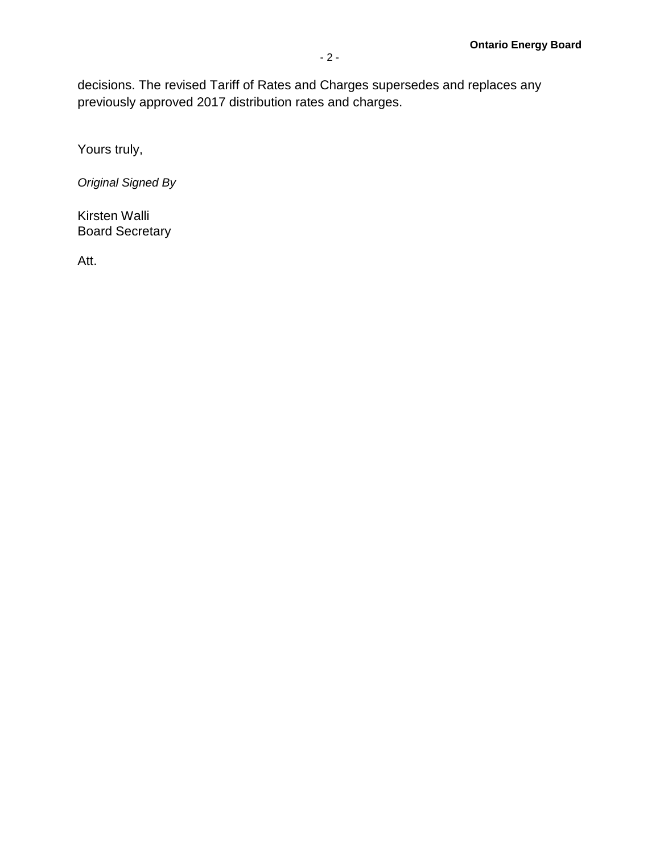decisions. The revised Tariff of Rates and Charges supersedes and replaces any previously approved 2017 distribution rates and charges.

Yours truly,

*Original Signed By*

Kirsten Walli Board Secretary

Att.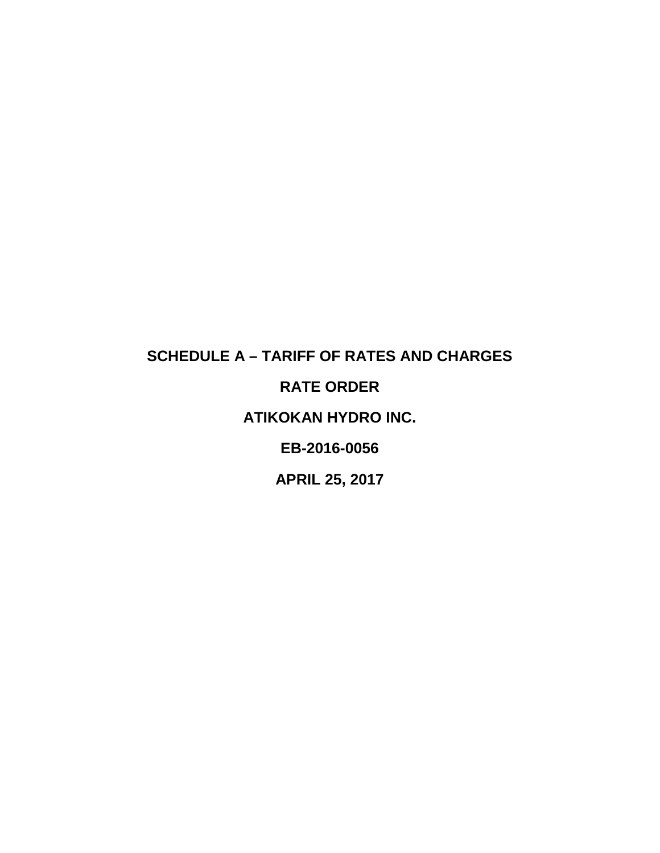# **SCHEDULE A – TARIFF OF RATES AND CHARGES RATE ORDER ATIKOKAN HYDRO INC. EB-2016-0056**

**APRIL 25, 2017**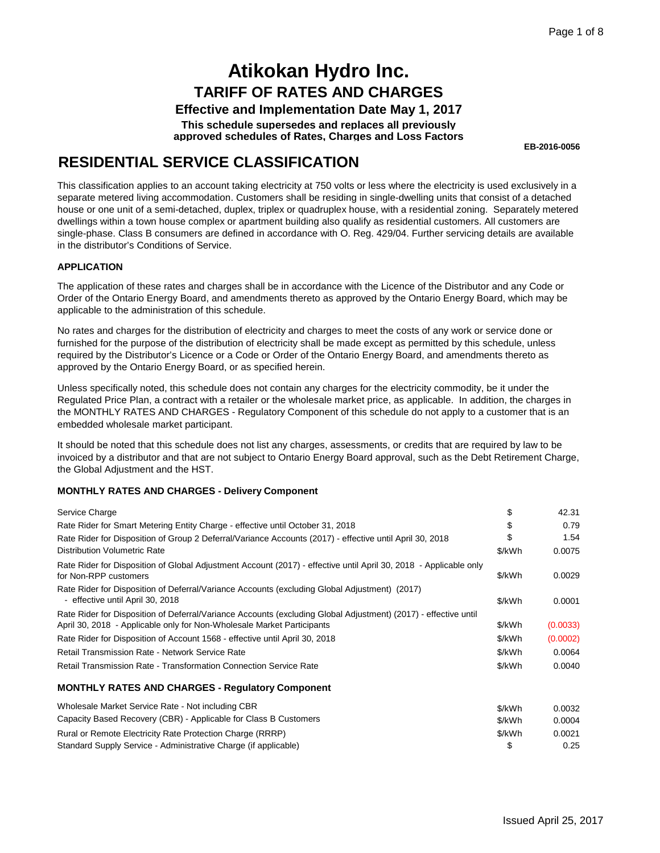**Effective and Implementation Date May 1, 2017**

**This schedule supersedes and replaces all previously approved schedules of Rates, Charges and Loss Factors**

**EB-2016-0056**

### **RESIDENTIAL SERVICE CLASSIFICATION**

This classification applies to an account taking electricity at 750 volts or less where the electricity is used exclusively in a separate metered living accommodation. Customers shall be residing in single-dwelling units that consist of a detached house or one unit of a semi-detached, duplex, triplex or quadruplex house, with a residential zoning. Separately metered dwellings within a town house complex or apartment building also qualify as residential customers. All customers are single-phase. Class B consumers are defined in accordance with O. Reg. 429/04. Further servicing details are available in the distributor's Conditions of Service.

#### **APPLICATION**

The application of these rates and charges shall be in accordance with the Licence of the Distributor and any Code or Order of the Ontario Energy Board, and amendments thereto as approved by the Ontario Energy Board, which may be applicable to the administration of this schedule.

No rates and charges for the distribution of electricity and charges to meet the costs of any work or service done or furnished for the purpose of the distribution of electricity shall be made except as permitted by this schedule, unless required by the Distributor's Licence or a Code or Order of the Ontario Energy Board, and amendments thereto as approved by the Ontario Energy Board, or as specified herein.

Unless specifically noted, this schedule does not contain any charges for the electricity commodity, be it under the Regulated Price Plan, a contract with a retailer or the wholesale market price, as applicable. In addition, the charges in the MONTHLY RATES AND CHARGES - Regulatory Component of this schedule do not apply to a customer that is an embedded wholesale market participant.

It should be noted that this schedule does not list any charges, assessments, or credits that are required by law to be invoiced by a distributor and that are not subject to Ontario Energy Board approval, such as the Debt Retirement Charge, the Global Adjustment and the HST.

| Service Charge                                                                                                                                                                            | \$     | 42.31    |
|-------------------------------------------------------------------------------------------------------------------------------------------------------------------------------------------|--------|----------|
| Rate Rider for Smart Metering Entity Charge - effective until October 31, 2018                                                                                                            | \$     | 0.79     |
| Rate Rider for Disposition of Group 2 Deferral/Variance Accounts (2017) - effective until April 30, 2018                                                                                  | \$     | 1.54     |
| <b>Distribution Volumetric Rate</b>                                                                                                                                                       | \$/kWh | 0.0075   |
| Rate Rider for Disposition of Global Adjustment Account (2017) - effective until April 30, 2018 - Applicable only<br>for Non-RPP customers                                                | \$/kWh | 0.0029   |
| Rate Rider for Disposition of Deferral/Variance Accounts (excluding Global Adjustment) (2017)<br>- effective until April 30, 2018                                                         | \$/kWh | 0.0001   |
| Rate Rider for Disposition of Deferral/Variance Accounts (excluding Global Adjustment) (2017) - effective until<br>April 30, 2018 - Applicable only for Non-Wholesale Market Participants | \$/kWh | (0.0033) |
| Rate Rider for Disposition of Account 1568 - effective until April 30, 2018                                                                                                               | \$/kWh | (0.0002) |
| Retail Transmission Rate - Network Service Rate                                                                                                                                           | \$/kWh | 0.0064   |
| Retail Transmission Rate - Transformation Connection Service Rate                                                                                                                         | \$/kWh | 0.0040   |
| <b>MONTHLY RATES AND CHARGES - Regulatory Component</b>                                                                                                                                   |        |          |
| Wholesale Market Service Rate - Not including CBR                                                                                                                                         | \$/kWh | 0.0032   |
| Capacity Based Recovery (CBR) - Applicable for Class B Customers                                                                                                                          | \$/kWh | 0.0004   |
| Rural or Remote Electricity Rate Protection Charge (RRRP)                                                                                                                                 | \$/kWh | 0.0021   |
| Standard Supply Service - Administrative Charge (if applicable)                                                                                                                           | \$     | 0.25     |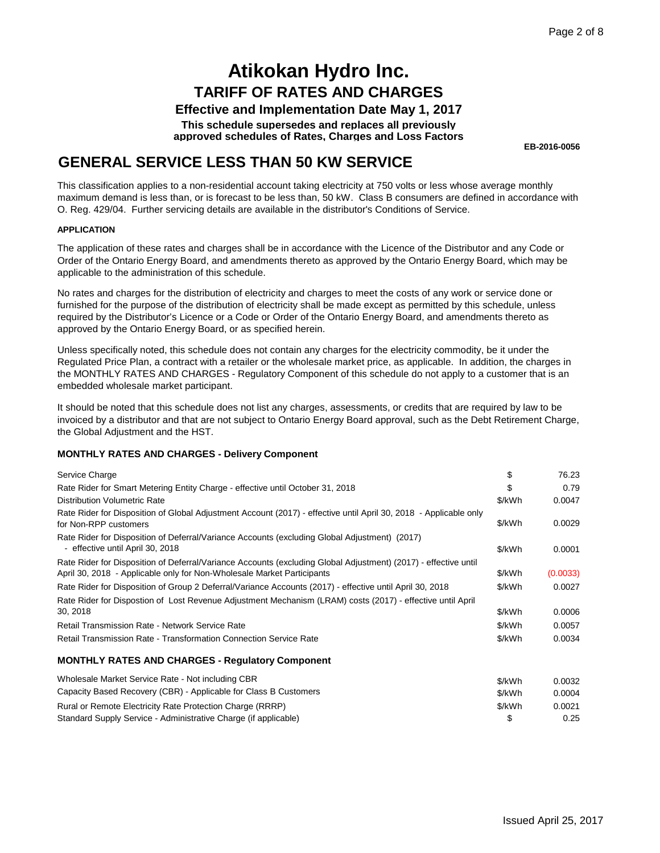#### **Effective and Implementation Date May 1, 2017**

**This schedule supersedes and replaces all previously approved schedules of Rates, Charges and Loss Factors**

**EB-2016-0056**

### **GENERAL SERVICE LESS THAN 50 KW SERVICE**

This classification applies to a non-residential account taking electricity at 750 volts or less whose average monthly maximum demand is less than, or is forecast to be less than, 50 kW. Class B consumers are defined in accordance with O. Reg. 429/04. Further servicing details are available in the distributor's Conditions of Service.

#### **APPLICATION**

The application of these rates and charges shall be in accordance with the Licence of the Distributor and any Code or Order of the Ontario Energy Board, and amendments thereto as approved by the Ontario Energy Board, which may be applicable to the administration of this schedule.

No rates and charges for the distribution of electricity and charges to meet the costs of any work or service done or furnished for the purpose of the distribution of electricity shall be made except as permitted by this schedule, unless required by the Distributor's Licence or a Code or Order of the Ontario Energy Board, and amendments thereto as approved by the Ontario Energy Board, or as specified herein.

Unless specifically noted, this schedule does not contain any charges for the electricity commodity, be it under the Regulated Price Plan, a contract with a retailer or the wholesale market price, as applicable. In addition, the charges in the MONTHLY RATES AND CHARGES - Regulatory Component of this schedule do not apply to a customer that is an embedded wholesale market participant.

It should be noted that this schedule does not list any charges, assessments, or credits that are required by law to be invoiced by a distributor and that are not subject to Ontario Energy Board approval, such as the Debt Retirement Charge, the Global Adjustment and the HST.

| Service Charge                                                                                                                                                                            | \$     | 76.23    |
|-------------------------------------------------------------------------------------------------------------------------------------------------------------------------------------------|--------|----------|
| Rate Rider for Smart Metering Entity Charge - effective until October 31, 2018                                                                                                            | \$     | 0.79     |
| <b>Distribution Volumetric Rate</b>                                                                                                                                                       | \$/kWh | 0.0047   |
| Rate Rider for Disposition of Global Adjustment Account (2017) - effective until April 30, 2018 - Applicable only<br>for Non-RPP customers                                                | \$/kWh | 0.0029   |
| Rate Rider for Disposition of Deferral/Variance Accounts (excluding Global Adjustment) (2017)<br>- effective until April 30, 2018                                                         | \$/kWh | 0.0001   |
| Rate Rider for Disposition of Deferral/Variance Accounts (excluding Global Adjustment) (2017) - effective until<br>April 30, 2018 - Applicable only for Non-Wholesale Market Participants | \$/kWh | (0.0033) |
| Rate Rider for Disposition of Group 2 Deferral/Variance Accounts (2017) - effective until April 30, 2018                                                                                  | \$/kWh | 0.0027   |
| Rate Rider for Dispostion of Lost Revenue Adjustment Mechanism (LRAM) costs (2017) - effective until April                                                                                |        |          |
| 30, 2018                                                                                                                                                                                  | \$/kWh | 0.0006   |
| Retail Transmission Rate - Network Service Rate                                                                                                                                           | \$/kWh | 0.0057   |
| Retail Transmission Rate - Transformation Connection Service Rate                                                                                                                         | \$/kWh | 0.0034   |
| <b>MONTHLY RATES AND CHARGES - Regulatory Component</b>                                                                                                                                   |        |          |
| Wholesale Market Service Rate - Not including CBR                                                                                                                                         | \$/kWh | 0.0032   |
| Capacity Based Recovery (CBR) - Applicable for Class B Customers                                                                                                                          | \$/kWh | 0.0004   |
| Rural or Remote Electricity Rate Protection Charge (RRRP)                                                                                                                                 | \$/kWh | 0.0021   |
| Standard Supply Service - Administrative Charge (if applicable)                                                                                                                           | \$     | 0.25     |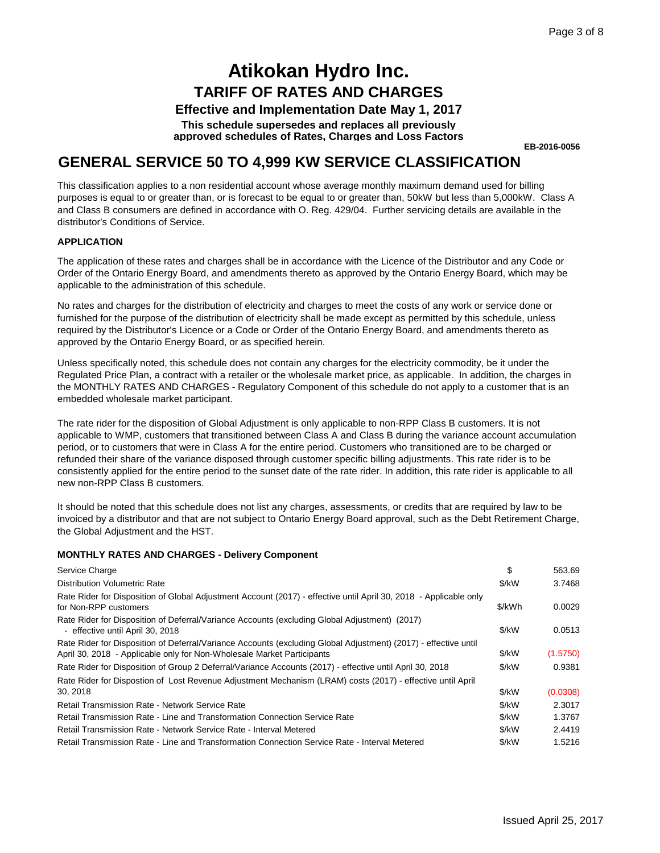**Effective and Implementation Date May 1, 2017**

**This schedule supersedes and replaces all previously approved schedules of Rates, Charges and Loss Factors**

**EB-2016-0056**

### **GENERAL SERVICE 50 TO 4,999 KW SERVICE CLASSIFICATION**

This classification applies to a non residential account whose average monthly maximum demand used for billing purposes is equal to or greater than, or is forecast to be equal to or greater than, 50kW but less than 5,000kW. Class A and Class B consumers are defined in accordance with O. Reg. 429/04. Further servicing details are available in the distributor's Conditions of Service.

#### **APPLICATION**

The application of these rates and charges shall be in accordance with the Licence of the Distributor and any Code or Order of the Ontario Energy Board, and amendments thereto as approved by the Ontario Energy Board, which may be applicable to the administration of this schedule.

No rates and charges for the distribution of electricity and charges to meet the costs of any work or service done or furnished for the purpose of the distribution of electricity shall be made except as permitted by this schedule, unless required by the Distributor's Licence or a Code or Order of the Ontario Energy Board, and amendments thereto as approved by the Ontario Energy Board, or as specified herein.

Unless specifically noted, this schedule does not contain any charges for the electricity commodity, be it under the Regulated Price Plan, a contract with a retailer or the wholesale market price, as applicable. In addition, the charges in the MONTHLY RATES AND CHARGES - Regulatory Component of this schedule do not apply to a customer that is an embedded wholesale market participant.

The rate rider for the disposition of Global Adjustment is only applicable to non-RPP Class B customers. It is not applicable to WMP, customers that transitioned between Class A and Class B during the variance account accumulation period, or to customers that were in Class A for the entire period. Customers who transitioned are to be charged or refunded their share of the variance disposed through customer specific billing adjustments. This rate rider is to be consistently applied for the entire period to the sunset date of the rate rider. In addition, this rate rider is applicable to all new non-RPP Class B customers.

It should be noted that this schedule does not list any charges, assessments, or credits that are required by law to be invoiced by a distributor and that are not subject to Ontario Energy Board approval, such as the Debt Retirement Charge, the Global Adjustment and the HST.

| Service Charge                                                                                                                                                                            | \$                | 563.69   |
|-------------------------------------------------------------------------------------------------------------------------------------------------------------------------------------------|-------------------|----------|
| <b>Distribution Volumetric Rate</b>                                                                                                                                                       | $\frac{1}{2}$ /kW | 3.7468   |
| Rate Rider for Disposition of Global Adjustment Account (2017) - effective until April 30, 2018 - Applicable only<br>for Non-RPP customers                                                | \$/kWh            | 0.0029   |
| Rate Rider for Disposition of Deferral/Variance Accounts (excluding Global Adjustment) (2017)<br>- effective until April 30, 2018                                                         | $\frac{1}{2}$ /kW | 0.0513   |
| Rate Rider for Disposition of Deferral/Variance Accounts (excluding Global Adjustment) (2017) - effective until<br>April 30, 2018 - Applicable only for Non-Wholesale Market Participants | $\frac{1}{2}$ /kW | (1.5750) |
| Rate Rider for Disposition of Group 2 Deferral/Variance Accounts (2017) - effective until April 30, 2018                                                                                  | $\frac{1}{2}$ /kW | 0.9381   |
| Rate Rider for Dispostion of Lost Revenue Adjustment Mechanism (LRAM) costs (2017) - effective until April                                                                                |                   |          |
| 30, 2018                                                                                                                                                                                  | $\frac{1}{2}$ /kW | (0.0308) |
| Retail Transmission Rate - Network Service Rate                                                                                                                                           | $\frac{1}{2}$ /kW | 2.3017   |
| Retail Transmission Rate - Line and Transformation Connection Service Rate                                                                                                                | $\frac{1}{2}$ /kW | 1.3767   |
| Retail Transmission Rate - Network Service Rate - Interval Metered                                                                                                                        | \$/kW             | 2.4419   |
| Retail Transmission Rate - Line and Transformation Connection Service Rate - Interval Metered                                                                                             | $\frac{1}{2}$ /kW | 1.5216   |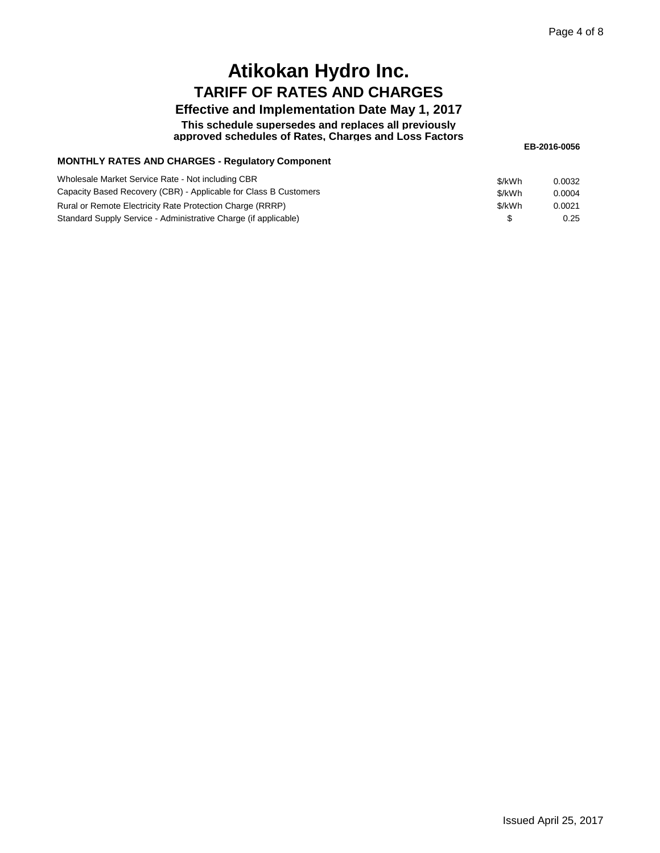#### **Effective and Implementation Date May 1, 2017**

**This schedule supersedes and replaces all previously approved schedules of Rates, Charges and Loss Factors**

**EB-2016-0056**

#### **MONTHLY RATES AND CHARGES - Regulatory Component**

| Wholesale Market Service Rate - Not including CBR<br>Capacity Based Recovery (CBR) - Applicable for Class B Customers | \$/kWh<br>\$/kWh | 0.0032<br>0.0004 |
|-----------------------------------------------------------------------------------------------------------------------|------------------|------------------|
| Rural or Remote Electricity Rate Protection Charge (RRRP)                                                             | \$/kWh           | 0.0021           |
| Standard Supply Service - Administrative Charge (if applicable)                                                       |                  | 0.25             |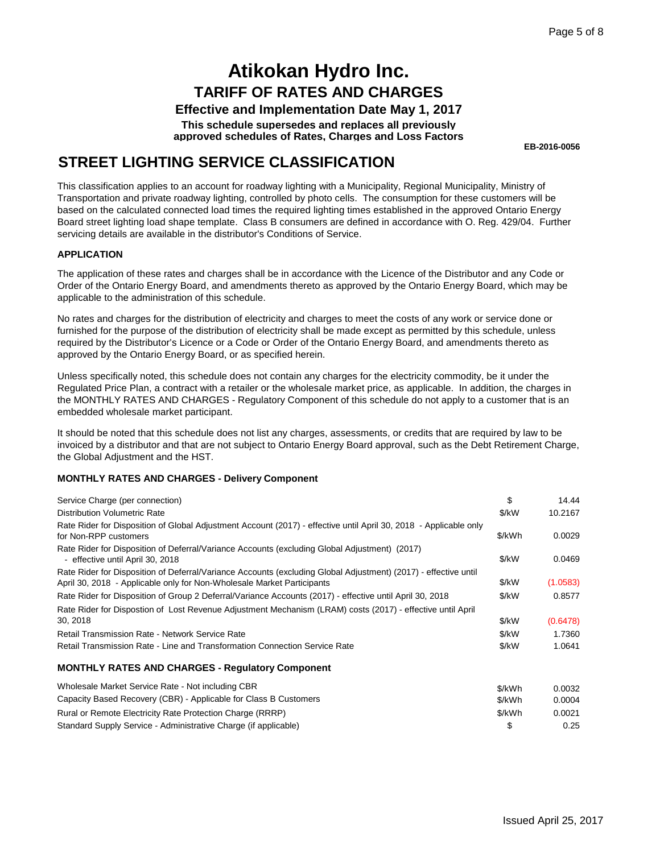**Effective and Implementation Date May 1, 2017**

**This schedule supersedes and replaces all previously approved schedules of Rates, Charges and Loss Factors**

**EB-2016-0056**

### **STREET LIGHTING SERVICE CLASSIFICATION**

This classification applies to an account for roadway lighting with a Municipality, Regional Municipality, Ministry of Transportation and private roadway lighting, controlled by photo cells. The consumption for these customers will be based on the calculated connected load times the required lighting times established in the approved Ontario Energy Board street lighting load shape template. Class B consumers are defined in accordance with O. Reg. 429/04. Further servicing details are available in the distributor's Conditions of Service.

#### **APPLICATION**

The application of these rates and charges shall be in accordance with the Licence of the Distributor and any Code or Order of the Ontario Energy Board, and amendments thereto as approved by the Ontario Energy Board, which may be applicable to the administration of this schedule.

No rates and charges for the distribution of electricity and charges to meet the costs of any work or service done or furnished for the purpose of the distribution of electricity shall be made except as permitted by this schedule, unless required by the Distributor's Licence or a Code or Order of the Ontario Energy Board, and amendments thereto as approved by the Ontario Energy Board, or as specified herein.

Unless specifically noted, this schedule does not contain any charges for the electricity commodity, be it under the Regulated Price Plan, a contract with a retailer or the wholesale market price, as applicable. In addition, the charges in the MONTHLY RATES AND CHARGES - Regulatory Component of this schedule do not apply to a customer that is an embedded wholesale market participant.

It should be noted that this schedule does not list any charges, assessments, or credits that are required by law to be invoiced by a distributor and that are not subject to Ontario Energy Board approval, such as the Debt Retirement Charge, the Global Adjustment and the HST.

#### **MONTHLY RATES AND CHARGES - Delivery Component**

| Service Charge (per connection)                                                                                                                                                           | \$     | 14.44    |
|-------------------------------------------------------------------------------------------------------------------------------------------------------------------------------------------|--------|----------|
| <b>Distribution Volumetric Rate</b>                                                                                                                                                       | \$/kW  | 10.2167  |
| Rate Rider for Disposition of Global Adjustment Account (2017) - effective until April 30, 2018 - Applicable only<br>for Non-RPP customers                                                | \$/kWh | 0.0029   |
| Rate Rider for Disposition of Deferral/Variance Accounts (excluding Global Adjustment) (2017)<br>- effective until April 30, 2018                                                         | \$/kW  | 0.0469   |
| Rate Rider for Disposition of Deferral/Variance Accounts (excluding Global Adjustment) (2017) - effective until<br>April 30, 2018 - Applicable only for Non-Wholesale Market Participants | \$/kW  | (1.0583) |
| Rate Rider for Disposition of Group 2 Deferral/Variance Accounts (2017) - effective until April 30, 2018                                                                                  | \$/kW  | 0.8577   |
| Rate Rider for Dispostion of Lost Revenue Adjustment Mechanism (LRAM) costs (2017) - effective until April                                                                                |        |          |
| 30, 2018                                                                                                                                                                                  | \$/kW  | (0.6478) |
| Retail Transmission Rate - Network Service Rate                                                                                                                                           | \$/kW  | 1.7360   |
| Retail Transmission Rate - Line and Transformation Connection Service Rate                                                                                                                | \$/kW  | 1.0641   |
| <b>MONTHLY RATES AND CHARGES - Requiatory Component</b>                                                                                                                                   |        |          |
| Wholesale Market Service Rate - Not including CBR                                                                                                                                         | \$/kWh | 0.0032   |
| Capacity Based Recovery (CBR) - Applicable for Class B Customers                                                                                                                          | \$/kWh | 0.0004   |
| Rural or Remote Electricity Rate Protection Charge (RRRP)                                                                                                                                 | \$/kWh | 0.0021   |

Standard Supply Service - Administrative Charge (if applicable) \$ 0.25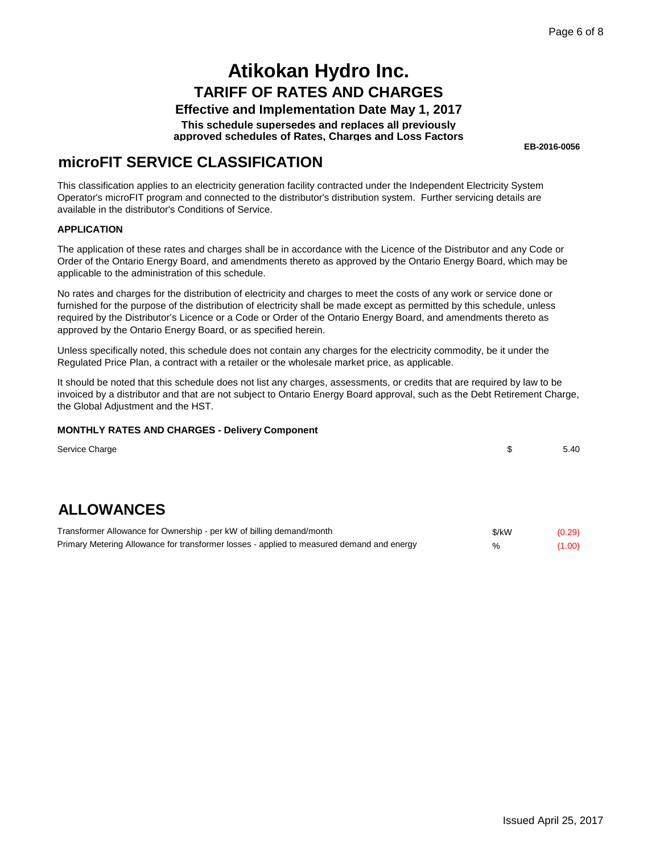### **Effective and Implementation Date May 1, 2017**

**This schedule supersedes and replaces all previously approved schedules of Rates, Charges and Loss Factors**

**EB-2016-0056**

### **microFIT SERVICE CLASSIFICATION**

This classification applies to an electricity generation facility contracted under the Independent Electricity System Operator's microFIT program and connected to the distributor's distribution system. Further servicing details are available in the distributor's Conditions of Service.

#### **APPLICATION**

The application of these rates and charges shall be in accordance with the Licence of the Distributor and any Code or Order of the Ontario Energy Board, and amendments thereto as approved by the Ontario Energy Board, which may be applicable to the administration of this schedule.

No rates and charges for the distribution of electricity and charges to meet the costs of any work or service done or furnished for the purpose of the distribution of electricity shall be made except as permitted by this schedule, unless required by the Distributor's Licence or a Code or Order of the Ontario Energy Board, and amendments thereto as approved by the Ontario Energy Board, or as specified herein.

Unless specifically noted, this schedule does not contain any charges for the electricity commodity, be it under the Regulated Price Plan, a contract with a retailer or the wholesale market price, as applicable.

It should be noted that this schedule does not list any charges, assessments, or credits that are required by law to be invoiced by a distributor and that are not subject to Ontario Energy Board approval, such as the Debt Retirement Charge, the Global Adjustment and the HST.

| Service Charge                                                                            | \$    | 5.40   |
|-------------------------------------------------------------------------------------------|-------|--------|
|                                                                                           |       |        |
| <b>ALLOWANCES</b>                                                                         |       |        |
| Transformer Allowance for Ownership - per kW of billing demand/month                      | \$/kW | (0.29) |
| Primary Metering Allowance for transformer losses - applied to measured demand and energy | %     | (1.00) |
|                                                                                           |       |        |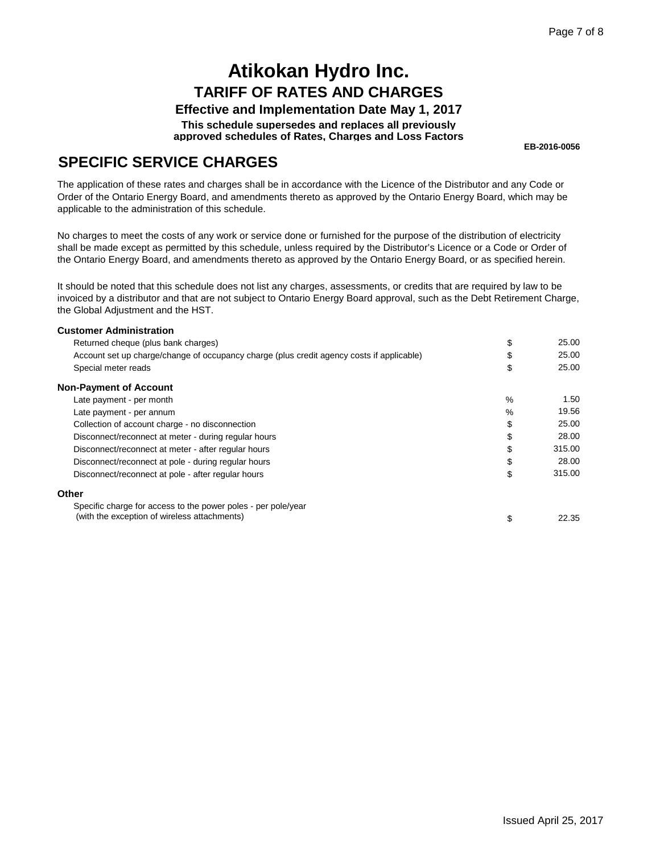### **Effective and Implementation Date May 1, 2017**

**This schedule supersedes and replaces all previously approved schedules of Rates, Charges and Loss Factors**

**EB-2016-0056**

### **SPECIFIC SERVICE CHARGES**

The application of these rates and charges shall be in accordance with the Licence of the Distributor and any Code or Order of the Ontario Energy Board, and amendments thereto as approved by the Ontario Energy Board, which may be applicable to the administration of this schedule.

No charges to meet the costs of any work or service done or furnished for the purpose of the distribution of electricity shall be made except as permitted by this schedule, unless required by the Distributor's Licence or a Code or Order of the Ontario Energy Board, and amendments thereto as approved by the Ontario Energy Board, or as specified herein.

It should be noted that this schedule does not list any charges, assessments, or credits that are required by law to be invoiced by a distributor and that are not subject to Ontario Energy Board approval, such as the Debt Retirement Charge, the Global Adjustment and the HST.

| <b>Customer Administration</b>                                                            |      |        |
|-------------------------------------------------------------------------------------------|------|--------|
| Returned cheque (plus bank charges)                                                       | \$   | 25.00  |
| Account set up charge/change of occupancy charge (plus credit agency costs if applicable) | \$   | 25.00  |
| Special meter reads                                                                       | \$   | 25.00  |
| <b>Non-Payment of Account</b>                                                             |      |        |
| Late payment - per month                                                                  | $\%$ | 1.50   |
| Late payment - per annum                                                                  | $\%$ | 19.56  |
| Collection of account charge - no disconnection                                           | \$   | 25.00  |
| Disconnect/reconnect at meter - during regular hours                                      | \$   | 28.00  |
| Disconnect/reconnect at meter - after regular hours                                       | \$   | 315.00 |
| Disconnect/reconnect at pole - during regular hours                                       | \$   | 28.00  |
| Disconnect/reconnect at pole - after regular hours                                        | \$   | 315.00 |
| Other                                                                                     |      |        |
| Specific charge for access to the power poles - per pole/year                             |      |        |
| (with the exception of wireless attachments)                                              | \$   | 22.35  |